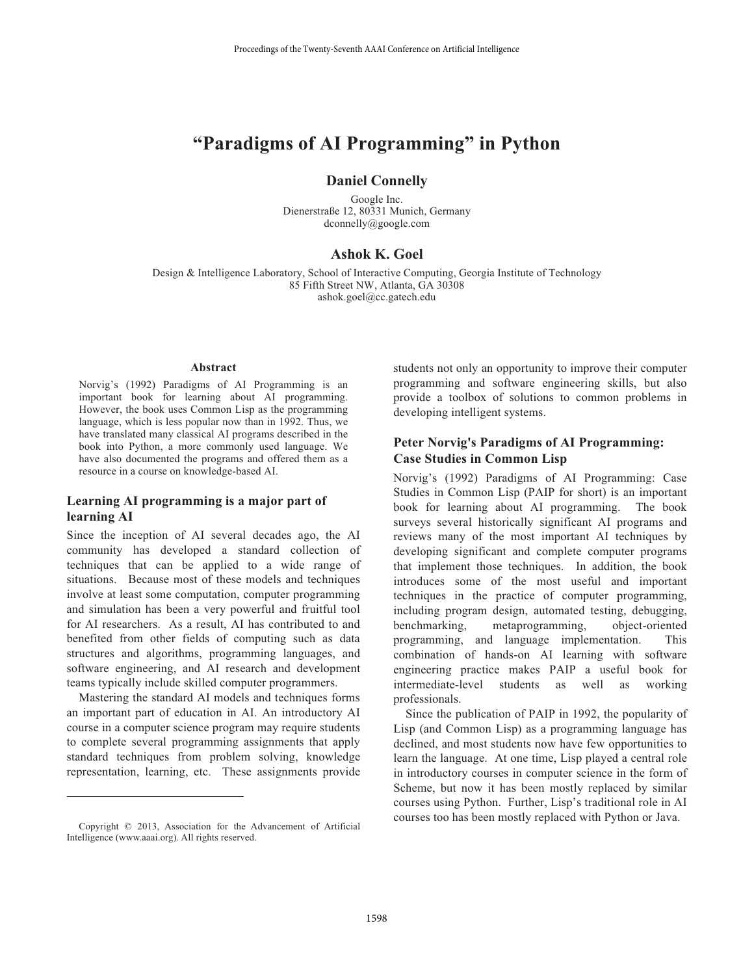# **"Paradigms of AI Programming" in Python**

#### **Daniel Connelly**

Google Inc. Dienerstraße 12, 80331 Munich, Germany dconnelly@google.com

#### **Ashok K. Goel**

Design & Intelligence Laboratory, School of Interactive Computing, Georgia Institute of Technology 85 Fifth Street NW, Atlanta, GA 30308 ashok.goel@cc.gatech.edu

#### **Abstract**

Norvig's (1992) Paradigms of AI Programming is an important book for learning about AI programming. However, the book uses Common Lisp as the programming language, which is less popular now than in 1992. Thus, we have translated many classical AI programs described in the book into Python, a more commonly used language. We have also documented the programs and offered them as a resource in a course on knowledge-based AI.

#### **Learning AI programming is a major part of learning AI**

Since the inception of AI several decades ago, the AI community has developed a standard collection of techniques that can be applied to a wide range of situations. Because most of these models and techniques involve at least some computation, computer programming and simulation has been a very powerful and fruitful tool for AI researchers. As a result, AI has contributed to and benefited from other fields of computing such as data structures and algorithms, programming languages, and software engineering, and AI research and development teams typically include skilled computer programmers.

 Mastering the standard AI models and techniques forms an important part of education in AI. An introductory AI course in a computer science program may require students to complete several programming assignments that apply standard techniques from problem solving, knowledge representation, learning, etc. These assignments provide

 $\overline{a}$ 

students not only an opportunity to improve their computer programming and software engineering skills, but also provide a toolbox of solutions to common problems in developing intelligent systems.

### **Peter Norvig's Paradigms of AI Programming: Case Studies in Common Lisp**

Norvig's (1992) Paradigms of AI Programming: Case Studies in Common Lisp (PAIP for short) is an important book for learning about AI programming. The book surveys several historically significant AI programs and reviews many of the most important AI techniques by developing significant and complete computer programs that implement those techniques. In addition, the book introduces some of the most useful and important techniques in the practice of computer programming, including program design, automated testing, debugging, benchmarking, metaprogramming, object-oriented programming, and language implementation. This combination of hands-on AI learning with software engineering practice makes PAIP a useful book for intermediate-level students as well as working professionals.

 Since the publication of PAIP in 1992, the popularity of Lisp (and Common Lisp) as a programming language has declined, and most students now have few opportunities to learn the language. At one time, Lisp played a central role in introductory courses in computer science in the form of Scheme, but now it has been mostly replaced by similar courses using Python. Further, Lisp's traditional role in AI courses too has been mostly replaced with Python or Java.

Copyright © 2013, Association for the Advancement of Artificial Intelligence (www.aaai.org). All rights reserved.